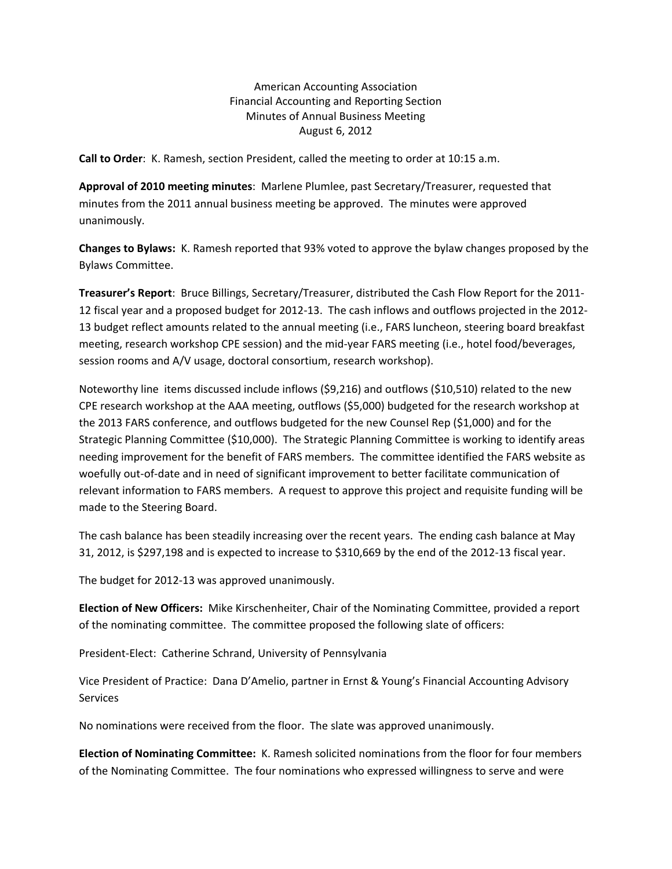American Accounting Association Financial Accounting and Reporting Section Minutes of Annual Business Meeting August 6, 2012

**Call to Order**: K. Ramesh, section President, called the meeting to order at 10:15 a.m.

**Approval of 2010 meeting minutes**: Marlene Plumlee, past Secretary/Treasurer, requested that minutes from the 2011 annual business meeting be approved. The minutes were approved unanimously.

**Changes to Bylaws:** K. Ramesh reported that 93% voted to approve the bylaw changes proposed by the Bylaws Committee.

**Treasurer's Report**: Bruce Billings, Secretary/Treasurer, distributed the Cash Flow Report for the 2011‐ 12 fiscal year and a proposed budget for 2012‐13. The cash inflows and outflows projected in the 2012‐ 13 budget reflect amounts related to the annual meeting (i.e., FARS luncheon, steering board breakfast meeting, research workshop CPE session) and the mid‐year FARS meeting (i.e., hotel food/beverages, session rooms and A/V usage, doctoral consortium, research workshop).

Noteworthy line items discussed include inflows (\$9,216) and outflows (\$10,510) related to the new CPE research workshop at the AAA meeting, outflows (\$5,000) budgeted for the research workshop at the 2013 FARS conference, and outflows budgeted for the new Counsel Rep (\$1,000) and for the Strategic Planning Committee (\$10,000). The Strategic Planning Committee is working to identify areas needing improvement for the benefit of FARS members. The committee identified the FARS website as woefully out-of-date and in need of significant improvement to better facilitate communication of relevant information to FARS members. A request to approve this project and requisite funding will be made to the Steering Board.

The cash balance has been steadily increasing over the recent years. The ending cash balance at May 31, 2012, is \$297,198 and is expected to increase to \$310,669 by the end of the 2012‐13 fiscal year.

The budget for 2012‐13 was approved unanimously.

**Election of New Officers:** Mike Kirschenheiter, Chair of the Nominating Committee, provided a report of the nominating committee. The committee proposed the following slate of officers:

President‐Elect: Catherine Schrand, University of Pennsylvania

Vice President of Practice: Dana D'Amelio, partner in Ernst & Young's Financial Accounting Advisory Services

No nominations were received from the floor. The slate was approved unanimously.

**Election of Nominating Committee:** K. Ramesh solicited nominations from the floor for four members of the Nominating Committee. The four nominations who expressed willingness to serve and were